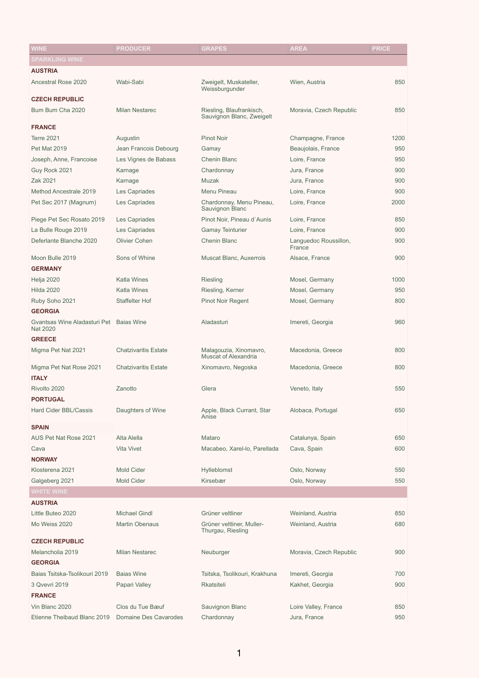| <b>WINE</b>                                                | <b>PRODUCER</b>             | <b>GRAPES</b>                                         | <b>AREA</b>                     | <b>PRICE</b> |
|------------------------------------------------------------|-----------------------------|-------------------------------------------------------|---------------------------------|--------------|
| <b>SPARKLING WINE</b>                                      |                             |                                                       |                                 |              |
| <b>AUSTRIA</b>                                             |                             |                                                       |                                 |              |
| <b>Ancestral Rose 2020</b>                                 | Wabi-Sabi                   | Zweigelt, Muskateller,<br>Weissburgunder              | Wien, Austria                   | 850          |
| <b>CZECH REPUBLIC</b>                                      |                             |                                                       |                                 |              |
| Bum Bum Cha 2020                                           | <b>Milan Nestarec</b>       | Riesling, Blaufrankisch,<br>Sauvignon Blanc, Zweigelt | Moravia, Czech Republic         | 850          |
| <b>FRANCE</b>                                              |                             |                                                       |                                 |              |
| <b>Terre 2021</b>                                          | Augustin                    | <b>Pinot Noir</b>                                     | Champagne, France               | 1200         |
| <b>Pet Mat 2019</b>                                        | Jean Francois Debourg       | Gamay                                                 | Beaujolais, France              | 950          |
| Joseph, Anne, Francoise                                    | Les Vignes de Babass        | <b>Chenin Blanc</b>                                   | Loire, France                   | 950          |
| Guy Rock 2021                                              | Karnage                     | Chardonnay                                            | Jura, France                    | 900          |
| Zak 2021                                                   | Karnage                     | <b>Muzak</b>                                          | Jura, France                    | 900          |
| <b>Method Ancestrale 2019</b>                              | Les Capriades               | <b>Menu Pineau</b>                                    | Loire, France                   | 900          |
| Pet Sec 2017 (Magnum)                                      | Les Capriades               | Chardonnay, Menu Pineau,<br>Sauvignon Blanc           | Loire, France                   | 2000         |
| Piege Pet Sec Rosato 2019                                  | Les Capriades               | Pinot Noir, Pineau d'Aunis                            | Loire, France                   | 850          |
| La Bulle Rouge 2019                                        | Les Capriades               | <b>Gamay Teinturier</b>                               | Loire, France                   | 900          |
| Deferlante Blanche 2020                                    | <b>Olivier Cohen</b>        | <b>Chenin Blanc</b>                                   | Languedoc Roussillon,<br>France | 900          |
| Moon Bulle 2019                                            | Sons of Whine               | <b>Muscat Blanc, Auxerrois</b>                        | Alsace, France                  | 900          |
| <b>GERMANY</b>                                             |                             |                                                       |                                 |              |
| Helja 2020                                                 | <b>Katla Wines</b>          | <b>Riesling</b>                                       | Mosel, Germany                  | 1000         |
| <b>Hilda 2020</b>                                          | <b>Katla Wines</b>          | Riesling, Kerner                                      | Mosel, Germany                  | 950          |
| Ruby Soho 2021                                             | <b>Staffelter Hof</b>       | <b>Pinot Noir Regent</b>                              | Mosel, Germany                  | 800          |
| <b>GEORGIA</b>                                             |                             |                                                       |                                 |              |
| Gvantsas Wine Aladasturi Pet Baias Wine<br><b>Nat 2020</b> |                             | Aladasturi                                            | Imereti, Georgia                | 960          |
| <b>GREECE</b>                                              |                             |                                                       |                                 |              |
| Migma Pet Nat 2021                                         | <b>Chatzivaritis Estate</b> | Malagouzia, Xinomavro,<br><b>Muscat of Alexandria</b> | Macedonia, Greece               | 800          |
| Migma Pet Nat Rose 2021<br><b>ITALY</b>                    | <b>Chatzivaritis Estate</b> | Xinomavro, Negoska                                    | Macedonia, Greece               | 800          |
| Rivolto 2020                                               | Zanotto                     | Glera                                                 | Veneto, Italy                   | 550          |
| <b>PORTUGAL</b>                                            |                             |                                                       |                                 |              |
| <b>Hard Cider BBL/Cassis</b>                               | Daughters of Wine           | Apple, Black Currant, Star<br>Anise                   | Alobaca, Portugal               | 650          |
| <b>SPAIN</b>                                               |                             |                                                       |                                 |              |
| AUS Pet Nat Rose 2021                                      | Alta Alella                 | Mataro                                                | Catalunya, Spain                | 650          |
| Cava                                                       | <b>Vita Vivet</b>           | Macabeo, Xarel-lo, Parellada                          | Cava, Spain                     | 600          |
| <b>NORWAY</b>                                              |                             |                                                       |                                 |              |
| Klosterena 2021                                            | <b>Mold Cider</b>           | <b>Hylleblomst</b>                                    | Oslo, Norway                    | 550          |
| Galgeberg 2021                                             | <b>Mold Cider</b>           | Kirsebær                                              | Oslo, Norway                    | 550          |

## **WHITE WINE**

## **AUSTRIA**

| Little Buteo 2020             | <b>Michael Gindl</b>  | Grüner veltliner                               | Weinland, Austria       | 850 |
|-------------------------------|-----------------------|------------------------------------------------|-------------------------|-----|
| Mo Weiss 2020                 | <b>Martin Obenaus</b> | Grüner veltliner, Muller-<br>Thurgau, Riesling | Weinland, Austria       | 680 |
| <b>CZECH REPUBLIC</b>         |                       |                                                |                         |     |
| Melancholia 2019              | Milan Nestarec        | Neuburger                                      | Moravia, Czech Republic | 900 |
| <b>GEORGIA</b>                |                       |                                                |                         |     |
| Baias Tsitska-Tsolikouri 2019 | <b>Bajas Wine</b>     | Tsitska, Tsolikouri, Krakhuna                  | Imereti, Georgia        | 700 |
| 3 Qvevri 2019                 | Papari Valley         | <b>Rkatsiteli</b>                              | Kakhet, Georgia         | 900 |
| <b>FRANCE</b>                 |                       |                                                |                         |     |
| Vin Blanc 2020                | Clos du Tue Bæuf      | Sauvignon Blanc                                | Loire Valley, France    | 850 |
| Etienne Theibaud Blanc 2019   | Domaine Des Cavarodes | Chardonnay                                     | Jura, France            | 950 |

1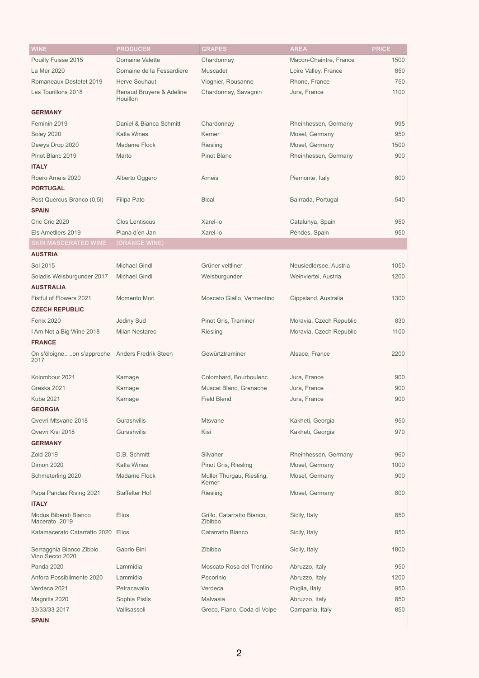| <b>WINE</b>                                    | <b>PRODUCER</b>           | <b>GRAPES</b>               | <b>AREA</b>             | <b>PRICE</b> |
|------------------------------------------------|---------------------------|-----------------------------|-------------------------|--------------|
| Pouilly Fuisse 2015                            | <b>Domaine Valette</b>    | Chardonnay                  | Macon-Chaintre, France  | 1500         |
| La Mer 2020                                    | Domaine de la Fessardiere | <b>Muscadet</b>             | Loire Valley, France    | 850          |
| Romaneaux Destetet 2019                        | <b>Herve Souhaut</b>      | Viognier, Rousanne          | Rhone, France           | 750          |
| Les Tourillons 2018                            | Renaud Bruyere & Adeline  | Chardonnay, Savagnin        | Jura, France            | 1100         |
|                                                | Houillon                  |                             |                         |              |
| <b>GERMANY</b>                                 |                           |                             |                         |              |
| Feminin 2019                                   | Daniel & Bianca Schmitt   | Chardonnay                  | Rheinhessen, Germany    | 995          |
| <b>Soley 2020</b>                              | <b>Katla Wines</b>        | Kerner                      | Mosel, Germany          | 950          |
| Dewys Drop 2020                                | <b>Madame Flock</b>       | <b>Riesling</b>             | Mosel, Germany          | 1500         |
| Pinot Blanc 2019                               | Marto                     | <b>Pinot Blanc</b>          | Rheinhessen, Germany    | 900          |
| <b>ITALY</b>                                   |                           |                             |                         |              |
| Roero Arneis 2020                              | Alberto Oggero            | Arneis                      | Piemonte, Italy         | 800          |
| <b>PORTUGAL</b>                                |                           |                             |                         |              |
| Post Quercus Branco (0,5l)                     | <b>Filipa Pato</b>        | <b>Bical</b>                | Bairrada, Portugal      | 540          |
| <b>SPAIN</b>                                   |                           |                             |                         |              |
| Cric Cric 2020                                 | <b>Clos Lentiscus</b>     | Xarel-lo                    | Catalunya, Spain        | 950          |
| Els Ametllers 2019                             | Plana d'en Jan            | Xarel-lo                    | Péndes, Spain           | 950          |
| <b>SKIN MASCERATED WINE</b>                    | (ORANGE WINE)             |                             |                         |              |
| <b>AUSTRIA</b>                                 |                           |                             |                         |              |
| Sol 2015                                       | <b>Michael Gindl</b>      | Grüner veltliner            | Neusiedlersee, Austria  | 1050         |
| Soladis Weisburgunder 2017                     | <b>Michael Gindl</b>      | Weisburgunder               | Weinviertel, Austria    | 1200         |
| <b>AUSTRALIA</b>                               |                           |                             |                         |              |
| Fistful of Flowers 2021                        | Momento Mori              | Moscato Giallo, Vermentino  | Gippsland, Australia    | 1300         |
| <b>CZECH REPUBLIC</b>                          |                           |                             |                         |              |
| <b>Fenix 2020</b>                              | <b>Jediny Sud</b>         | Pinot Gris, Traminer        | Moravia, Czech Republic | 830          |
| I Am Not a Big Wine 2018                       | <b>Milan Nestarec</b>     | <b>Riesling</b>             | Moravia, Czech Republic | 1100         |
| <b>FRANCE</b>                                  |                           |                             |                         |              |
| On s'éloigneon s'approche Anders Fredrik Steen |                           | Gewürtztraminer             | Alsace, France          | 2200         |
| 2017                                           |                           |                             |                         |              |
| Kolombour 2021                                 | Karnage                   | Colombard, Bourboulenc      | Jura, France            | 900          |
| Greska 2021                                    | Karnage                   | Muscat Blanc, Grenache      | Jura, France            | 900          |
| <b>Kube 2021</b>                               | Karnage                   | <b>Field Blend</b>          | Jura, France            | 900          |
| <b>GEORGIA</b>                                 |                           |                             |                         |              |
| Qvevri Mtsvane 2018                            | Gurashvilis               | <b>Mtsvane</b>              | Kakheti, Georgia        | 950          |
| Qvevri Kisi 2018                               | Gurashvilis               | Kisi                        | Kakheti, Georgia        | 970          |
| <b>GERMANY</b>                                 |                           |                             |                         |              |
| <b>Zold 2019</b>                               | D.B. Schmitt              | Silvaner                    | Rheinhessen, Germany    | 960          |
| <b>Dimon 2020</b>                              | <b>Katla Wines</b>        | Pinot Gris, Riesling        | Mosel, Germany          | 1000         |
| Schmeterling 2020                              | <b>Madame Flock</b>       | Muller Thurgau, Riesling,   | Mosel, Germany          | 900          |
|                                                |                           | Kerner                      |                         |              |
| Papa Pandas Rising 2021                        | <b>Staffelter Hof</b>     | <b>Riesling</b>             | Mosel, Germany          | 800          |
| <b>ITALY</b>                                   |                           |                             |                         |              |
| Modus Bibendi Bianco                           | <b>Elios</b>              | Grillo, Catarratto Bianco,  | Sicily, Italy           | 850          |
| Macerato 2019                                  |                           | Zibibbo                     |                         |              |
| Katamacerato Catarratto 2020 Elios             |                           | Catarratto Bianco           | Sicily, Italy           | 850          |
| Serragghia Bianco Zibbio<br>Vino Secco 2020    | Gabrio Bini               | Zibibbo                     | Sicily, Italy           | 1800         |
| <b>Panda 2020</b>                              | Lammidia                  | Moscato Rosa del Trentino   | Abruzzo, Italy          | 950          |
| Anfora Possibilmente 2020                      | Lammidia                  | Pecorinio                   | Abruzzo, Italy          | 1200         |
| Verdeca 2021                                   | Petracavallo              | Verdeca                     | Puglia, Italy           | 950          |
| Magnitis 2020                                  | Sophia Pistis             | Malvasia                    | Abruzzo, Italy          | 850          |
| 33/33/33 2017                                  | Vallisassoli              | Greco, Fiano, Coda di Volpe | Campania, Italy         | 850          |
| <b>SPAIN</b>                                   |                           |                             |                         |              |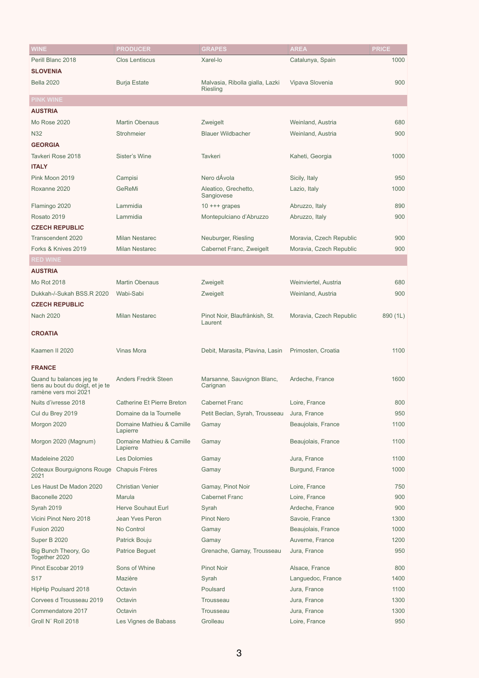| <b>WINE</b>                                                                          | <b>PRODUCER</b>                       | <b>GRAPES</b>                                      | <b>AREA</b>             | <b>PRICE</b> |
|--------------------------------------------------------------------------------------|---------------------------------------|----------------------------------------------------|-------------------------|--------------|
| Perill Blanc 2018                                                                    | <b>Clos Lentiscus</b>                 | Xarel-lo                                           | Catalunya, Spain        | 1000         |
| <b>SLOVENIA</b>                                                                      |                                       |                                                    |                         |              |
| <b>Bella 2020</b>                                                                    | <b>Burja Estate</b>                   | Malvasia, Ribolla gialla, Lazki<br><b>Riesling</b> | Vipava Slovenia         | 900          |
| <b>PINK WINE</b>                                                                     |                                       |                                                    |                         |              |
| <b>AUSTRIA</b>                                                                       |                                       |                                                    |                         |              |
| Mo Rose 2020                                                                         | <b>Martin Obenaus</b>                 | Zweigelt                                           | Weinland, Austria       | 680          |
| <b>N32</b>                                                                           | Strohmeier                            | <b>Blauer Wildbacher</b>                           | Weinland, Austria       | 900          |
| <b>GEORGIA</b>                                                                       |                                       |                                                    |                         |              |
| Tavkeri Rose 2018                                                                    | Sister's Wine                         | <b>Tavkeri</b>                                     | Kaheti, Georgia         | 1000         |
| <b>ITALY</b>                                                                         |                                       |                                                    |                         |              |
| Pink Moon 2019                                                                       | Campisi                               | Nero dÁvola                                        | Sicily, Italy           | 950          |
| Roxanne 2020                                                                         | GeReMi                                | Aleatico, Grechetto,<br>Sangiovese                 | Lazio, Italy            | 1000         |
| Flamingo 2020                                                                        | Lammidia                              | $10$ +++ grapes                                    | Abruzzo, Italy          | 890          |
| Rosato 2019                                                                          | Lammidia                              | Montepulciano d'Abruzzo                            | Abruzzo, Italy          | 900          |
| <b>CZECH REPUBLIC</b>                                                                |                                       |                                                    |                         |              |
| Transcendent 2020                                                                    | <b>Milan Nestarec</b>                 | Neuburger, Riesling                                | Moravia, Czech Republic | 900          |
| Forks & Knives 2019                                                                  | <b>Milan Nestarec</b>                 | Cabernet Franc, Zweigelt                           | Moravia, Czech Republic | 900          |
| <b>RED WINE</b>                                                                      |                                       |                                                    |                         |              |
| <b>AUSTRIA</b>                                                                       |                                       |                                                    |                         |              |
| Mo Rot 2018                                                                          | <b>Martin Obenaus</b>                 | Zweigelt                                           | Weinviertel, Austria    | 680          |
| Dukkah-/-Sukah BSS.R 2020                                                            | Wabi-Sabi                             | Zweigelt                                           | Weinland, Austria       | 900          |
| <b>CZECH REPUBLIC</b>                                                                |                                       |                                                    |                         |              |
| <b>Nach 2020</b>                                                                     | <b>Milan Nestarec</b>                 | Pinot Noir, Blaufränkish, St.<br>Laurent           | Moravia, Czech Republic | 890 (1L)     |
| <b>CROATIA</b>                                                                       |                                       |                                                    |                         |              |
| Kaamen II 2020                                                                       | <b>Vinas Mora</b>                     | Debit, Marasita, Plavina, Lasin                    | Primosten, Croatia      | 1100         |
| <b>FRANCE</b>                                                                        |                                       |                                                    |                         |              |
| Quand tu balances jeg te<br>tiens au bout du doigt, et je te<br>ramène vers moi 2021 | <b>Anders Fredrik Steen</b>           | Marsanne, Sauvignon Blanc,<br>Carignan             | Ardeche, France         | 1600         |
| Nuits d'ivresse 2018                                                                 | <b>Catherine Et Pierre Breton</b>     | <b>Cabernet Franc</b>                              | Loire, France           | 800          |
| Cul du Brey 2019                                                                     | Domaine da la Tournelle               | Petit Beclan, Syrah, Trousseau                     | Jura, France            | 950          |
| Morgon 2020                                                                          | Domaine Mathieu & Camille<br>Lapierre | Gamay                                              | Beaujolais, France      | 1100         |
| Morgon 2020 (Magnum)                                                                 | Domaine Mathieu & Camille<br>Lapierre | Gamay                                              | Beaujolais, France      | 1100         |
| Madeleine 2020                                                                       | <b>Les Dolomies</b>                   | Gamay                                              | Jura, France            | 1100         |
| <b>Coteaux Bourguignons Rouge</b><br>2021                                            | <b>Chapuis Frères</b>                 | Gamay                                              | Burgund, France         | 1000         |
| Les Haust De Madon 2020                                                              | <b>Christian Venier</b>               | Gamay, Pinot Noir                                  | Loire, France           | 750          |

| Baconelle 2020                        | Marula                    | <b>Cabernet Franc</b>      | Loire, France      | 900  |
|---------------------------------------|---------------------------|----------------------------|--------------------|------|
| <b>Syrah 2019</b>                     | <b>Herve Souhaut Eurl</b> | Syrah                      | Ardeche, France    | 900  |
| Vicini Pinot Nero 2018                | Jean Yves Peron           | <b>Pinot Nero</b>          | Savoie, France     | 1300 |
| Fusion 2020                           | No Control                | Gamay                      | Beaujolais, France | 1000 |
| <b>Super B 2020</b>                   | Patrick Bouju             | Gamay                      | Auverne, France    | 1200 |
| Big Bunch Theory, Go<br>Together 2020 | <b>Patrice Beguet</b>     | Grenache, Gamay, Trousseau | Jura, France       | 950  |
| Pinot Escobar 2019                    | Sons of Whine             | <b>Pinot Noir</b>          | Alsace, France     | 800  |
| S <sub>17</sub>                       | Mazière                   | Syrah                      | Languedoc, France  | 1400 |
| <b>HipHip Poulsard 2018</b>           | Octavin                   | Poulsard                   | Jura, France       | 1100 |
| Corvees d Trousseau 2019              | Octavin                   | <b>Trousseau</b>           | Jura, France       | 1300 |
| Commendatore 2017                     | Octavin                   | <b>Trousseau</b>           | Jura, France       | 1300 |
| Groll N' Roll 2018                    | Les Vignes de Babass      | Grolleau                   | Loire, France      | 950  |
|                                       |                           |                            |                    |      |